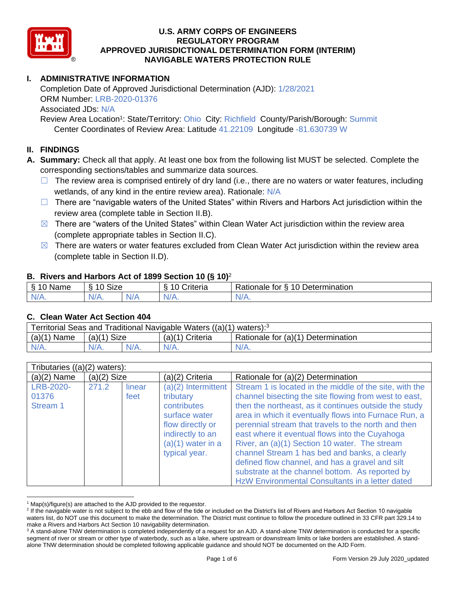

# **I. ADMINISTRATIVE INFORMATION**

Completion Date of Approved Jurisdictional Determination (AJD): 1/28/2021 ORM Number: LRB-2020-01376 Associated JDs: N/A Review Area Location<sup>1</sup>: State/Territory: Ohio City: Richfield County/Parish/Borough: Summit

Center Coordinates of Review Area: Latitude 41.22109 Longitude -81.630739 W

# **II. FINDINGS**

**A. Summary:** Check all that apply. At least one box from the following list MUST be selected. Complete the corresponding sections/tables and summarize data sources.

- $\Box$  The review area is comprised entirely of dry land (i.e., there are no waters or water features, including wetlands, of any kind in the entire review area). Rationale: N/A
- $\Box$  There are "navigable waters of the United States" within Rivers and Harbors Act jurisdiction within the review area (complete table in Section II.B).
- $\boxtimes$  There are "waters of the United States" within Clean Water Act jurisdiction within the review area (complete appropriate tables in Section II.C).
- $\boxtimes$  There are waters or water features excluded from Clean Water Act jurisdiction within the review area (complete table in Section II.D).

## **B. Rivers and Harbors Act of 1899 Section 10 (§ 10)**<sup>2</sup>

|              |                            |    | $\sim$                            |                                                             |
|--------------|----------------------------|----|-----------------------------------|-------------------------------------------------------------|
| Ω<br>Name    | $\sim$<br>10<br>SIZE<br>C) |    | .<br>$\sim$<br>-<br>;riteria<br>L | Determination<br>-<br><sup>n</sup><br>tor<br>-<br>'ationale |
| $N$ /<br>. . | N/A.                       | NL | .                                 | N/A.                                                        |

#### **C. Clean Water Act Section 404**

| Territorial Seas and Traditional Navigable Waters ((a)(1) waters): <sup>3</sup> |               |  |                                                         |         |  |  |  |
|---------------------------------------------------------------------------------|---------------|--|---------------------------------------------------------|---------|--|--|--|
| $(a)(1)$ Name                                                                   | $(a)(1)$ Size |  | Rationale for (a)(1) Determination<br>$(a)(1)$ Criteria |         |  |  |  |
|                                                                                 | $N/A$ .       |  | N/A                                                     | $N/A$ . |  |  |  |

| Tributaries $((a)(2)$ waters): |               |                |                                                                                                                                                    |                                                                                                                                                                                                                                                                                                                                                                                                                                                                                                                                                                                                        |  |  |  |  |
|--------------------------------|---------------|----------------|----------------------------------------------------------------------------------------------------------------------------------------------------|--------------------------------------------------------------------------------------------------------------------------------------------------------------------------------------------------------------------------------------------------------------------------------------------------------------------------------------------------------------------------------------------------------------------------------------------------------------------------------------------------------------------------------------------------------------------------------------------------------|--|--|--|--|
| $(a)(2)$ Name                  | $(a)(2)$ Size |                | (a)(2) Criteria                                                                                                                                    | Rationale for (a)(2) Determination                                                                                                                                                                                                                                                                                                                                                                                                                                                                                                                                                                     |  |  |  |  |
| LRB-2020-<br>01376<br>Stream 1 | 271.2         | linear<br>feet | $(a)(2)$ Intermittent<br>tributary<br>contributes<br>surface water<br>flow directly or<br>indirectly to an<br>$(a)(1)$ water in a<br>typical year. | Stream 1 is located in the middle of the site, with the<br>channel bisecting the site flowing from west to east,<br>then the northeast, as it continues outside the study<br>area in which it eventually flows into Furnace Run, a<br>perennial stream that travels to the north and then<br>east where it eventual flows into the Cuyahoga<br>River, an (a)(1) Section 10 water. The stream<br>channel Stream 1 has bed and banks, a clearly<br>defined flow channel, and has a gravel and silt<br>substrate at the channel bottom. As reported by<br>HzW Environmental Consultants in a letter dated |  |  |  |  |

 $1$  Map(s)/figure(s) are attached to the AJD provided to the requestor.

<sup>&</sup>lt;sup>2</sup> If the navigable water is not subject to the ebb and flow of the tide or included on the District's list of Rivers and Harbors Act Section 10 navigable waters list, do NOT use this document to make the determination. The District must continue to follow the procedure outlined in 33 CFR part 329.14 to make a Rivers and Harbors Act Section 10 navigability determination.

<sup>&</sup>lt;sup>3</sup> A stand-alone TNW determination is completed independently of a request for an AJD. A stand-alone TNW determination is conducted for a specific segment of river or stream or other type of waterbody, such as a lake, where upstream or downstream limits or lake borders are established. A standalone TNW determination should be completed following applicable guidance and should NOT be documented on the AJD Form.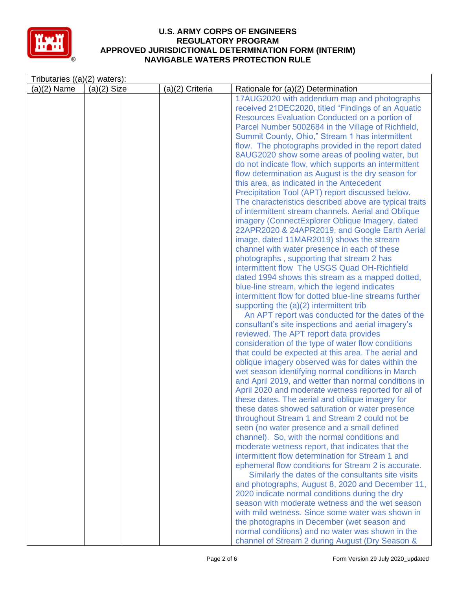

| Tributaries $((a)(2)$ waters): |               |                 |                                                                                                                                                                                                                                                                                                                                                                                                                                                                                                                                                                                                                                                                                                                                                                                                                                                                                                                                                                                                                                                                                                                                                                                                                                                                                                                                                                                                                                                                                                                                                                                                                                                                                                                                                                                                                                                                                                                                                                                                                                                                                                                            |
|--------------------------------|---------------|-----------------|----------------------------------------------------------------------------------------------------------------------------------------------------------------------------------------------------------------------------------------------------------------------------------------------------------------------------------------------------------------------------------------------------------------------------------------------------------------------------------------------------------------------------------------------------------------------------------------------------------------------------------------------------------------------------------------------------------------------------------------------------------------------------------------------------------------------------------------------------------------------------------------------------------------------------------------------------------------------------------------------------------------------------------------------------------------------------------------------------------------------------------------------------------------------------------------------------------------------------------------------------------------------------------------------------------------------------------------------------------------------------------------------------------------------------------------------------------------------------------------------------------------------------------------------------------------------------------------------------------------------------------------------------------------------------------------------------------------------------------------------------------------------------------------------------------------------------------------------------------------------------------------------------------------------------------------------------------------------------------------------------------------------------------------------------------------------------------------------------------------------------|
| $(a)(2)$ Name                  | $(a)(2)$ Size | (a)(2) Criteria | Rationale for (a)(2) Determination                                                                                                                                                                                                                                                                                                                                                                                                                                                                                                                                                                                                                                                                                                                                                                                                                                                                                                                                                                                                                                                                                                                                                                                                                                                                                                                                                                                                                                                                                                                                                                                                                                                                                                                                                                                                                                                                                                                                                                                                                                                                                         |
|                                |               |                 | 17AUG2020 with addendum map and photographs<br>received 21DEC2020, titled "Findings of an Aquatic<br>Resources Evaluation Conducted on a portion of<br>Parcel Number 5002684 in the Village of Richfield,<br>Summit County, Ohio," Stream 1 has intermittent<br>flow. The photographs provided in the report dated<br>8AUG2020 show some areas of pooling water, but<br>do not indicate flow, which supports an intermittent<br>flow determination as August is the dry season for<br>this area, as indicated in the Antecedent<br>Precipitation Tool (APT) report discussed below.<br>The characteristics described above are typical traits<br>of intermittent stream channels. Aerial and Oblique<br>imagery (ConnectExplorer Oblique Imagery, dated<br>22APR2020 & 24APR2019, and Google Earth Aerial<br>image, dated 11MAR2019) shows the stream<br>channel with water presence in each of these<br>photographs, supporting that stream 2 has<br>intermittent flow The USGS Quad OH-Richfield<br>dated 1994 shows this stream as a mapped dotted,<br>blue-line stream, which the legend indicates<br>intermittent flow for dotted blue-line streams further<br>supporting the (a)(2) intermittent trib<br>An APT report was conducted for the dates of the<br>consultant's site inspections and aerial imagery's<br>reviewed. The APT report data provides<br>consideration of the type of water flow conditions<br>that could be expected at this area. The aerial and<br>oblique imagery observed was for dates within the<br>wet season identifying normal conditions in March<br>and April 2019, and wetter than normal conditions in<br>April 2020 and moderate wetness reported for all of<br>these dates. The aerial and oblique imagery for<br>these dates showed saturation or water presence<br>throughout Stream 1 and Stream 2 could not be<br>seen (no water presence and a small defined<br>channel). So, with the normal conditions and<br>moderate wetness report, that indicates that the<br>intermittent flow determination for Stream 1 and<br>ephemeral flow conditions for Stream 2 is accurate. |
|                                |               |                 |                                                                                                                                                                                                                                                                                                                                                                                                                                                                                                                                                                                                                                                                                                                                                                                                                                                                                                                                                                                                                                                                                                                                                                                                                                                                                                                                                                                                                                                                                                                                                                                                                                                                                                                                                                                                                                                                                                                                                                                                                                                                                                                            |
|                                |               |                 | Similarly the dates of the consultants site visits<br>and photographs, August 8, 2020 and December 11,<br>2020 indicate normal conditions during the dry                                                                                                                                                                                                                                                                                                                                                                                                                                                                                                                                                                                                                                                                                                                                                                                                                                                                                                                                                                                                                                                                                                                                                                                                                                                                                                                                                                                                                                                                                                                                                                                                                                                                                                                                                                                                                                                                                                                                                                   |
|                                |               |                 | season with moderate wetness and the wet season<br>with mild wetness. Since some water was shown in                                                                                                                                                                                                                                                                                                                                                                                                                                                                                                                                                                                                                                                                                                                                                                                                                                                                                                                                                                                                                                                                                                                                                                                                                                                                                                                                                                                                                                                                                                                                                                                                                                                                                                                                                                                                                                                                                                                                                                                                                        |
|                                |               |                 | the photographs in December (wet season and<br>normal conditions) and no water was shown in the<br>channel of Stream 2 during August (Dry Season &                                                                                                                                                                                                                                                                                                                                                                                                                                                                                                                                                                                                                                                                                                                                                                                                                                                                                                                                                                                                                                                                                                                                                                                                                                                                                                                                                                                                                                                                                                                                                                                                                                                                                                                                                                                                                                                                                                                                                                         |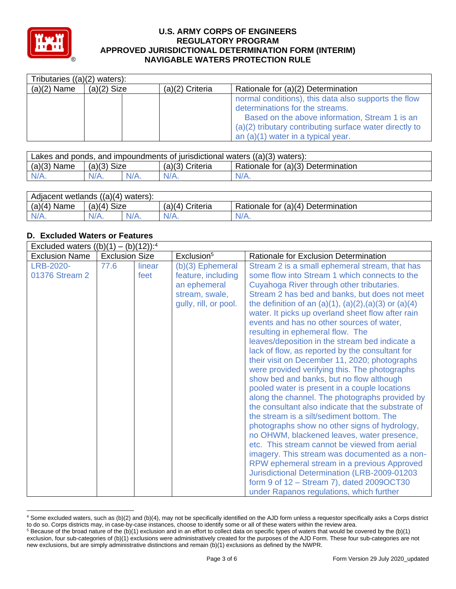

| Tributaries $((a)(2)$ waters): |               |                   |                                                                                                                                                                                                                                              |  |  |  |  |  |
|--------------------------------|---------------|-------------------|----------------------------------------------------------------------------------------------------------------------------------------------------------------------------------------------------------------------------------------------|--|--|--|--|--|
| $(a)(2)$ Name                  | $(a)(2)$ Size | $(a)(2)$ Criteria | Rationale for (a)(2) Determination                                                                                                                                                                                                           |  |  |  |  |  |
|                                |               |                   | normal conditions), this data also supports the flow<br>determinations for the streams.<br>Based on the above information, Stream 1 is an<br>(a)(2) tributary contributing surface water directly to<br>an $(a)(1)$ water in a typical year. |  |  |  |  |  |

| Lakes and ponds, and impoundments of jurisdictional waters $((a)(3)$ waters): |               |         |                   |                                    |  |  |  |
|-------------------------------------------------------------------------------|---------------|---------|-------------------|------------------------------------|--|--|--|
| $(a)(3)$ Name                                                                 | $(a)(3)$ Size |         | $(a)(3)$ Criteria | Rationale for (a)(3) Determination |  |  |  |
| N/A.                                                                          | $N/A$ .       | $N/A$ . | $N/A$ .           | $N/A$ .                            |  |  |  |

| Adjacent wetlands $((a)(4)$ waters): |                |         |                    |                                    |  |  |  |  |
|--------------------------------------|----------------|---------|--------------------|------------------------------------|--|--|--|--|
| $(a)(4)$ Name                        | Size<br>(a)(4) |         | (a)(4)<br>Criteria | Rationale for (a)(4) Determination |  |  |  |  |
| $N/A$ .                              | $N/A$ .        | $N/A$ . | $N/A$ .            | $N/A$ .                            |  |  |  |  |

# **D. Excluded Waters or Features**

| Excluded waters $((b)(1) - (b)(12))$ : <sup>4</sup> |                       |                |                                                                                                   |                                                                                                                                                                                                                                                                                                                                                                                                                                                                                                                                                                                                                                                                                                                                                                                                                                                                                                                                                                                                                                                                                                                                                                                                                                                          |  |  |  |  |
|-----------------------------------------------------|-----------------------|----------------|---------------------------------------------------------------------------------------------------|----------------------------------------------------------------------------------------------------------------------------------------------------------------------------------------------------------------------------------------------------------------------------------------------------------------------------------------------------------------------------------------------------------------------------------------------------------------------------------------------------------------------------------------------------------------------------------------------------------------------------------------------------------------------------------------------------------------------------------------------------------------------------------------------------------------------------------------------------------------------------------------------------------------------------------------------------------------------------------------------------------------------------------------------------------------------------------------------------------------------------------------------------------------------------------------------------------------------------------------------------------|--|--|--|--|
| <b>Exclusion Name</b>                               | <b>Exclusion Size</b> |                | Exclusion <sup>5</sup>                                                                            | Rationale for Exclusion Determination                                                                                                                                                                                                                                                                                                                                                                                                                                                                                                                                                                                                                                                                                                                                                                                                                                                                                                                                                                                                                                                                                                                                                                                                                    |  |  |  |  |
| LRB-2020-<br>01376 Stream 2                         | 77.6                  | linear<br>feet | (b)(3) Ephemeral<br>feature, including<br>an ephemeral<br>stream, swale,<br>gully, rill, or pool. | Stream 2 is a small ephemeral stream, that has<br>some flow into Stream 1 which connects to the<br>Cuyahoga River through other tributaries.<br>Stream 2 has bed and banks, but does not meet<br>the definition of an $(a)(1)$ , $(a)(2)$ , $(a)(3)$ or $(a)(4)$<br>water. It picks up overland sheet flow after rain<br>events and has no other sources of water,<br>resulting in ephemeral flow. The<br>leaves/deposition in the stream bed indicate a<br>lack of flow, as reported by the consultant for<br>their visit on December 11, 2020; photographs<br>were provided verifying this. The photographs<br>show bed and banks, but no flow although<br>pooled water is present in a couple locations<br>along the channel. The photographs provided by<br>the consultant also indicate that the substrate of<br>the stream is a silt/sediment bottom. The<br>photographs show no other signs of hydrology,<br>no OHWM, blackened leaves, water presence,<br>etc. This stream cannot be viewed from aerial<br>imagery. This stream was documented as a non-<br>RPW ephemeral stream in a previous Approved<br>Jurisdictional Determination (LRB-2009-01203<br>form 9 of 12 - Stream 7), dated 2009OCT30<br>under Rapanos regulations, which further |  |  |  |  |

<sup>4</sup> Some excluded waters, such as (b)(2) and (b)(4), may not be specifically identified on the AJD form unless a requestor specifically asks a Corps district to do so. Corps districts may, in case-by-case instances, choose to identify some or all of these waters within the review area.

 $5$  Because of the broad nature of the (b)(1) exclusion and in an effort to collect data on specific types of waters that would be covered by the (b)(1) exclusion, four sub-categories of (b)(1) exclusions were administratively created for the purposes of the AJD Form. These four sub-categories are not new exclusions, but are simply administrative distinctions and remain (b)(1) exclusions as defined by the NWPR.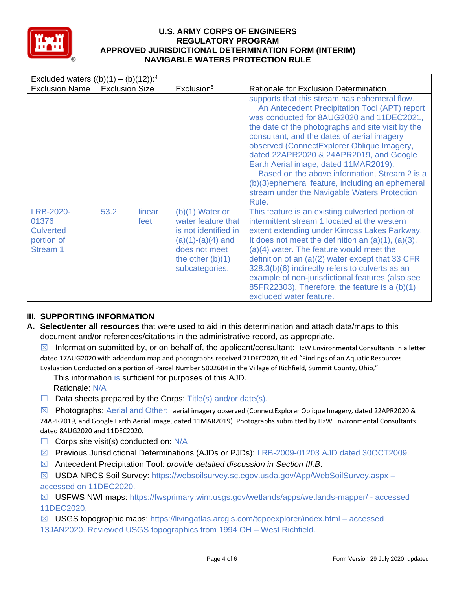

| Excluded waters $((b)(1) - (b)(12))$ : <sup>4</sup>              |                       |                |                                                                                                                                                 |                                                                                                                                                                                                                                                                                                                                                                                                                                                                                                                                                 |  |  |  |  |
|------------------------------------------------------------------|-----------------------|----------------|-------------------------------------------------------------------------------------------------------------------------------------------------|-------------------------------------------------------------------------------------------------------------------------------------------------------------------------------------------------------------------------------------------------------------------------------------------------------------------------------------------------------------------------------------------------------------------------------------------------------------------------------------------------------------------------------------------------|--|--|--|--|
| <b>Exclusion Name</b>                                            | <b>Exclusion Size</b> |                | Exclusion <sup>5</sup>                                                                                                                          | Rationale for Exclusion Determination                                                                                                                                                                                                                                                                                                                                                                                                                                                                                                           |  |  |  |  |
|                                                                  |                       |                |                                                                                                                                                 | supports that this stream has ephemeral flow.<br>An Antecedent Precipitation Tool (APT) report<br>was conducted for 8AUG2020 and 11DEC2021,<br>the date of the photographs and site visit by the<br>consultant, and the dates of aerial imagery<br>observed (ConnectExplorer Oblique Imagery,<br>dated 22APR2020 & 24APR2019, and Google<br>Earth Aerial image, dated 11MAR2019).<br>Based on the above information, Stream 2 is a<br>(b)(3) ephemeral feature, including an ephemeral<br>stream under the Navigable Waters Protection<br>Rule. |  |  |  |  |
| LRB-2020-<br>01376<br><b>Culverted</b><br>portion of<br>Stream 1 | 53.2                  | linear<br>feet | $(b)(1)$ Water or<br>water feature that<br>is not identified in<br>$(a)(1)-(a)(4)$ and<br>does not meet<br>the other $(b)(1)$<br>subcategories. | This feature is an existing culverted portion of<br>intermittent stream 1 located at the western<br>extent extending under Kinross Lakes Parkway.<br>It does not meet the definition an $(a)(1)$ , $(a)(3)$ ,<br>$(a)(4)$ water. The feature would meet the<br>definition of an $(a)(2)$ water except that 33 CFR<br>328.3(b)(6) indirectly refers to culverts as an<br>example of non-jurisdictional features (also see<br>85FR22303). Therefore, the feature is a (b)(1)<br>excluded water feature.                                           |  |  |  |  |

# **III. SUPPORTING INFORMATION**

**A. Select/enter all resources** that were used to aid in this determination and attach data/maps to this document and/or references/citations in the administrative record, as appropriate.

 $\boxtimes$  Information submitted by, or on behalf of, the applicant/consultant: HzW Environmental Consultants in a letter dated 17AUG2020 with addendum map and photographs received 21DEC2020, titled "Findings of an Aquatic Resources Evaluation Conducted on a portion of Parcel Number 5002684 in the Village of Richfield, Summit County, Ohio,"

This information is sufficient for purposes of this AJD. Rationale: N/A

 $\Box$  Data sheets prepared by the Corps: Title(s) and/or date(s).

 $\boxtimes$  Photographs: Aerial and Other: aerial imagery observed (ConnectExplorer Oblique Imagery, dated 22APR2020 & 24APR2019, and Google Earth Aerial image, dated 11MAR2019). Photographs submitted by HzW Environmental Consultants dated 8AUG2020 and 11DEC2020.

- $\Box$  Corps site visit(s) conducted on: N/A
- ☒ Previous Jurisdictional Determinations (AJDs or PJDs): LRB-2009-01203 AJD dated 30OCT2009.
- ☒ Antecedent Precipitation Tool: *provide detailed discussion in Section III.B*.
- ☒ USDA NRCS Soil Survey: https://websoilsurvey.sc.egov.usda.gov/App/WebSoilSurvey.aspx accessed on 11DEC2020.

☒ USFWS NWI maps: https://fwsprimary.wim.usgs.gov/wetlands/apps/wetlands-mapper/ - accessed 11DEC2020.

 $\boxtimes$  USGS topographic maps: https://livingatlas.arcgis.com/topoexplorer/index.html – accessed 13JAN2020. Reviewed USGS topographics from 1994 OH – West Richfield.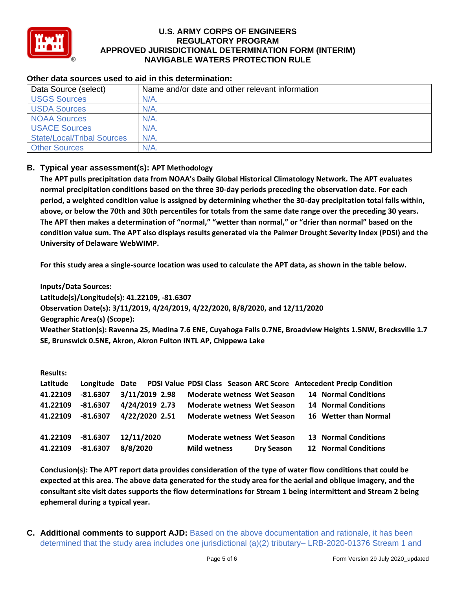

| Data Source (select)              | Name and/or date and other relevant information |  |  |  |  |
|-----------------------------------|-------------------------------------------------|--|--|--|--|
| <b>USGS Sources</b>               | $N/A$ .                                         |  |  |  |  |
| <b>USDA Sources</b>               | $N/A$ .                                         |  |  |  |  |
| <b>NOAA Sources</b>               | N/A                                             |  |  |  |  |
| <b>USACE Sources</b>              | $N/A$ .                                         |  |  |  |  |
| <b>State/Local/Tribal Sources</b> | $N/A$ .                                         |  |  |  |  |
| <b>Other Sources</b>              | $N/A$ .                                         |  |  |  |  |

#### **Other data sources used to aid in this determination:**

# **B. Typical year assessment(s): APT Methodology**

**The APT pulls precipitation data from NOAA's Daily Global Historical Climatology Network. The APT evaluates normal precipitation conditions based on the three 30-day periods preceding the observation date. For each period, a weighted condition value is assigned by determining whether the 30-day precipitation total falls within, above, or below the 70th and 30th percentiles for totals from the same date range over the preceding 30 years. The APT then makes a determination of "normal," "wetter than normal," or "drier than normal" based on the condition value sum. The APT also displays results generated via the Palmer Drought Severity Index (PDSI) and the University of Delaware WebWIMP.**

**For this study area a single-source location was used to calculate the APT data, as shown in the table below.**

**Inputs/Data Sources: Latitude(s)/Longitude(s): 41.22109, -81.6307 Observation Date(s): 3/11/2019, 4/24/2019, 4/22/2020, 8/8/2020, and 12/11/2020 Geographic Area(s) (Scope): Weather Station(s): Ravenna 2S, Medina 7.6 ENE, Cuyahoga Falls 0.7NE, Broadview Heights 1.5NW, Brecksville 1.7 SE, Brunswick 0.5NE, Akron, Akron Fulton INTL AP, Chippewa Lake**

| <b>Results:</b> |            |                |                                    |                   |                                                                    |
|-----------------|------------|----------------|------------------------------------|-------------------|--------------------------------------------------------------------|
| Latitude        | Longitude  | Date           |                                    |                   | PDSI Value PDSI Class Season ARC Score Antecedent Precip Condition |
| 41.22109        | $-81.6307$ | 3/11/2019 2.98 | <b>Moderate wetness Wet Season</b> |                   | <b>14 Normal Conditions</b>                                        |
| 41.22109        | $-81.6307$ | 4/24/2019 2.73 | <b>Moderate wetness Wet Season</b> |                   | <b>14 Normal Conditions</b>                                        |
| 41.22109        | $-81.6307$ | 4/22/2020 2.51 | <b>Moderate wetness Wet Season</b> |                   | 16 Wetter than Normal                                              |
|                 |            |                |                                    |                   |                                                                    |
| 41.22109        | $-81.6307$ | 12/11/2020     | <b>Moderate wetness Wet Season</b> |                   | <b>13 Normal Conditions</b>                                        |
| 41.22109        | $-81.6307$ | 8/8/2020       | <b>Mild wetness</b>                | <b>Dry Season</b> | <b>12 Normal Conditions</b>                                        |

**Conclusion(s): The APT report data provides consideration of the type of water flow conditions that could be expected at this area. The above data generated for the study area for the aerial and oblique imagery, and the consultant site visit dates supports the flow determinations for Stream 1 being intermittent and Stream 2 being ephemeral during a typical year.**

**C. Additional comments to support AJD:** Based on the above documentation and rationale, it has been determined that the study area includes one jurisdictional (a)(2) tributary– LRB-2020-01376 Stream 1 and